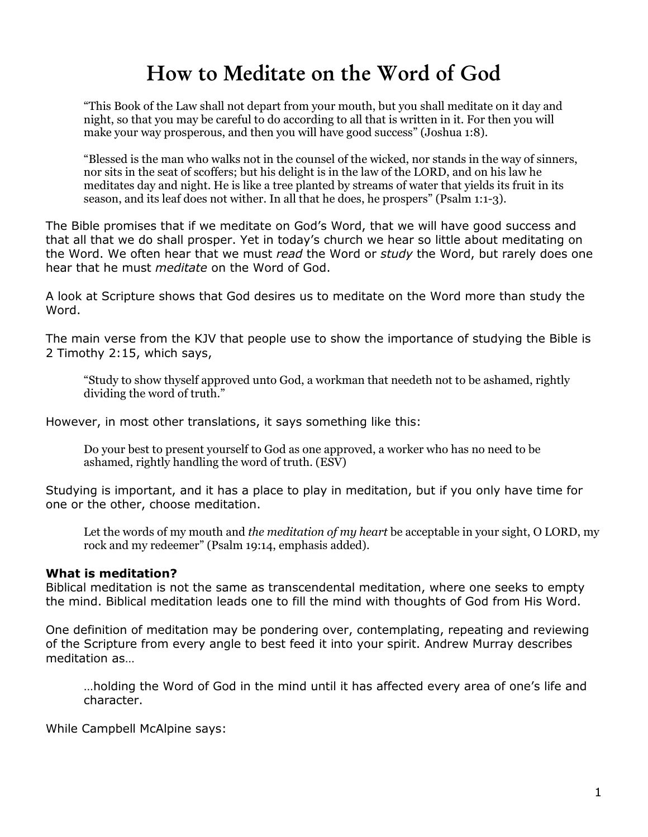# How to Meditate on the Word of God

"This Book of the Law shall not depart from your mouth, but you shall meditate on it day and night, so that you may be careful to do according to all that is written in it. For then you will make your way prosperous, and then you will have good success" (Joshua 1:8).

"Blessed is the man who walks not in the counsel of the wicked, nor stands in the way of sinners, nor sits in the seat of scoffers; but his delight is in the law of the LORD, and on his law he meditates day and night. He is like a tree planted by streams of water that yields its fruit in its season, and its leaf does not wither. In all that he does, he prospers" (Psalm 1:1-3).

The Bible promises that if we meditate on God's Word, that we will have good success and that all that we do shall prosper. Yet in today's church we hear so little about meditating on the Word. We often hear that we must read the Word or study the Word, but rarely does one hear that he must *meditate* on the Word of God.

A look at Scripture shows that God desires us to meditate on the Word more than study the Word.

The main verse from the KJV that people use to show the importance of studying the Bible is 2 Timothy 2:15, which says,

"Study to show thyself approved unto God, a workman that needeth not to be ashamed, rightly dividing the word of truth."

However, in most other translations, it says something like this:

Do your best to present yourself to God as one approved, a worker who has no need to be ashamed, rightly handling the word of truth. (ESV)

Studying is important, and it has a place to play in meditation, but if you only have time for one or the other, choose meditation.

Let the words of my mouth and *the meditation of my heart* be acceptable in your sight, O LORD, my rock and my redeemer" (Psalm 19:14, emphasis added).

#### What is meditation?

Biblical meditation is not the same as transcendental meditation, where one seeks to empty the mind. Biblical meditation leads one to fill the mind with thoughts of God from His Word.

One definition of meditation may be pondering over, contemplating, repeating and reviewing of the Scripture from every angle to best feed it into your spirit. Andrew Murray describes meditation as...

...holding the Word of God in the mind until it has affected every area of one's life and character.

While Campbell McAlpine says: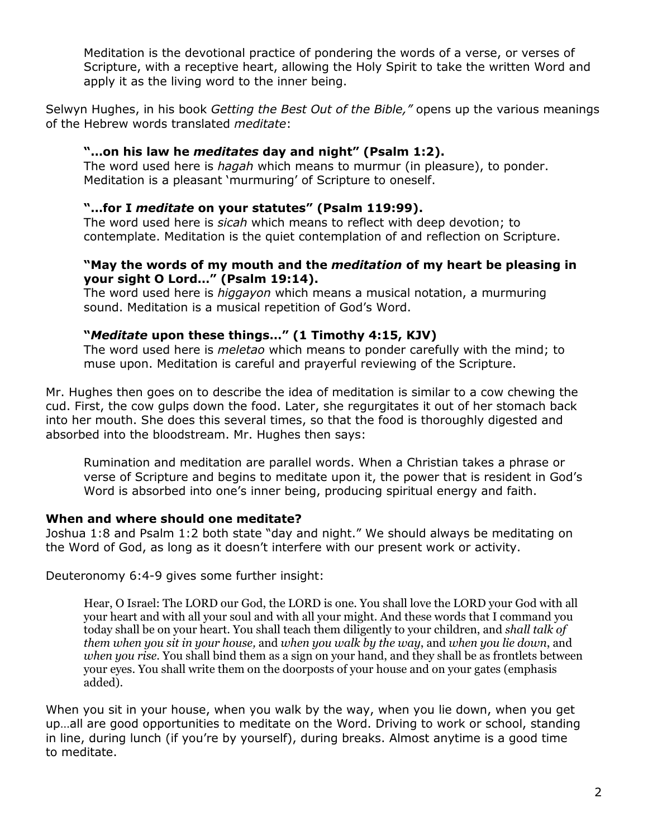Meditation is the devotional practice of pondering the words of a verse, or verses of Scripture, with a receptive heart, allowing the Holy Spirit to take the written Word and apply it as the living word to the inner being.

Selwyn Hughes, in his book Getting the Best Out of the Bible," opens up the various meanings of the Hebrew words translated meditate:

# "...on his law he meditates day and night" (Psalm 1:2).

The word used here is *hagah* which means to murmur (in pleasure), to ponder. Meditation is a pleasant 'murmuring' of Scripture to oneself.

# "...for I meditate on your statutes" (Psalm 119:99).

The word used here is *sicah* which means to reflect with deep devotion; to contemplate. Meditation is the quiet contemplation of and reflection on Scripture.

## "May the words of my mouth and the *meditation* of my heart be pleasing in your sight O Lord..." (Psalm 19:14).

The word used here is *higgayon* which means a musical notation, a murmuring sound. Meditation is a musical repetition of God's Word.

# "Meditate upon these things..." (1 Timothy 4:15, KJV)

The word used here is *meletao* which means to ponder carefully with the mind; to muse upon. Meditation is careful and prayerful reviewing of the Scripture.

Mr. Hughes then goes on to describe the idea of meditation is similar to a cow chewing the cud. First, the cow gulps down the food. Later, she regurgitates it out of her stomach back into her mouth. She does this several times, so that the food is thoroughly digested and absorbed into the bloodstream. Mr. Hughes then says:

Rumination and meditation are parallel words. When a Christian takes a phrase or verse of Scripture and begins to meditate upon it, the power that is resident in God's Word is absorbed into one's inner being, producing spiritual energy and faith.

# When and where should one meditate?

Joshua 1:8 and Psalm 1:2 both state "day and night." We should always be meditating on the Word of God, as long as it doesn't interfere with our present work or activity.

Deuteronomy 6:4-9 gives some further insight:

Hear, O Israel: The LORD our God, the LORD is one. You shall love the LORD your God with all your heart and with all your soul and with all your might. And these words that I command you today shall be on your heart. You shall teach them diligently to your children, and shall talk of them when you sit in your house, and when you walk by the way, and when you lie down, and when you rise. You shall bind them as a sign on your hand, and they shall be as frontlets between your eyes. You shall write them on the doorposts of your house and on your gates (emphasis added).

When you sit in your house, when you walk by the way, when you lie down, when you get up...all are good opportunities to meditate on the Word. Driving to work or school, standing in line, during lunch (if you're by yourself), during breaks. Almost anytime is a good time to meditate.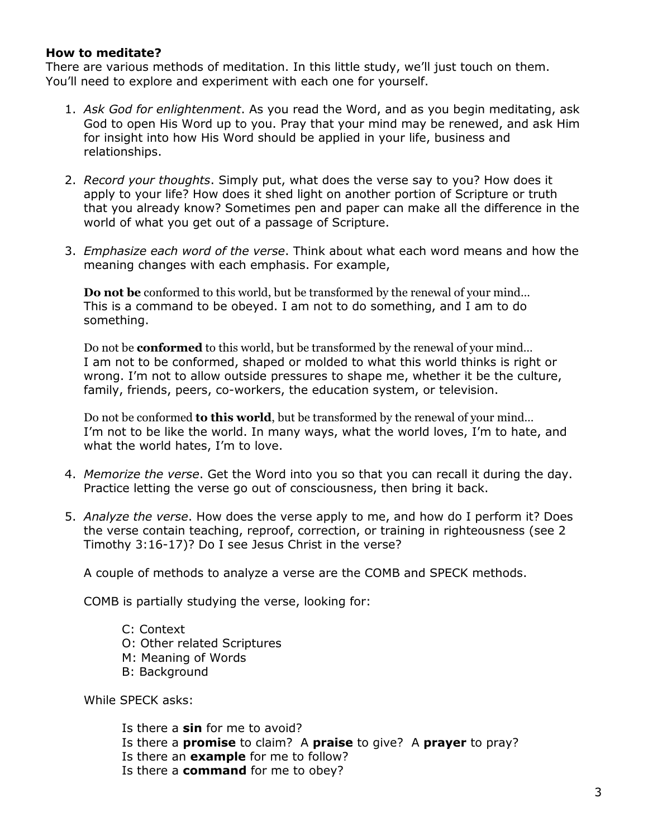## How to meditate?

There are various methods of meditation. In this little study, we'll just touch on them. You'll need to explore and experiment with each one for yourself.

- 1. Ask God for enlightenment. As you read the Word, and as you begin meditating, ask God to open His Word up to you. Pray that your mind may be renewed, and ask Him for insight into how His Word should be applied in your life, business and relationships.
- 2. Record your thoughts. Simply put, what does the verse say to you? How does it apply to your life? How does it shed light on another portion of Scripture or truth that you already know? Sometimes pen and paper can make all the difference in the world of what you get out of a passage of Scripture.
- 3. Emphasize each word of the verse. Think about what each word means and how the meaning changes with each emphasis. For example,

**Do not be** conformed to this world, but be transformed by the renewal of your mind... This is a command to be obeyed. I am not to do something, and I am to do something.

Do not be **conformed** to this world, but be transformed by the renewal of your mind... I am not to be conformed, shaped or molded to what this world thinks is right or wrong. I'm not to allow outside pressures to shape me, whether it be the culture, family, friends, peers, co-workers, the education system, or television.

Do not be conformed to this world, but be transformed by the renewal of your mind... I'm not to be like the world. In many ways, what the world loves, I'm to hate, and what the world hates, I'm to love.

- 4. Memorize the verse. Get the Word into you so that you can recall it during the day. Practice letting the verse go out of consciousness, then bring it back.
- 5. Analyze the verse. How does the verse apply to me, and how do I perform it? Does the verse contain teaching, reproof, correction, or training in righteousness (see 2) Timothy 3:16-17)? Do I see Jesus Christ in the verse?

A couple of methods to analyze a verse are the COMB and SPECK methods.

COMB is partially studying the verse, looking for:

- C: Context O: Other related Scriptures M: Meaning of Words
- **B: Background**

While SPECK asks:

Is there a sin for me to avoid? Is there a **promise** to claim? A **praise** to give? A **prayer** to pray? Is there an example for me to follow? Is there a **command** for me to obey?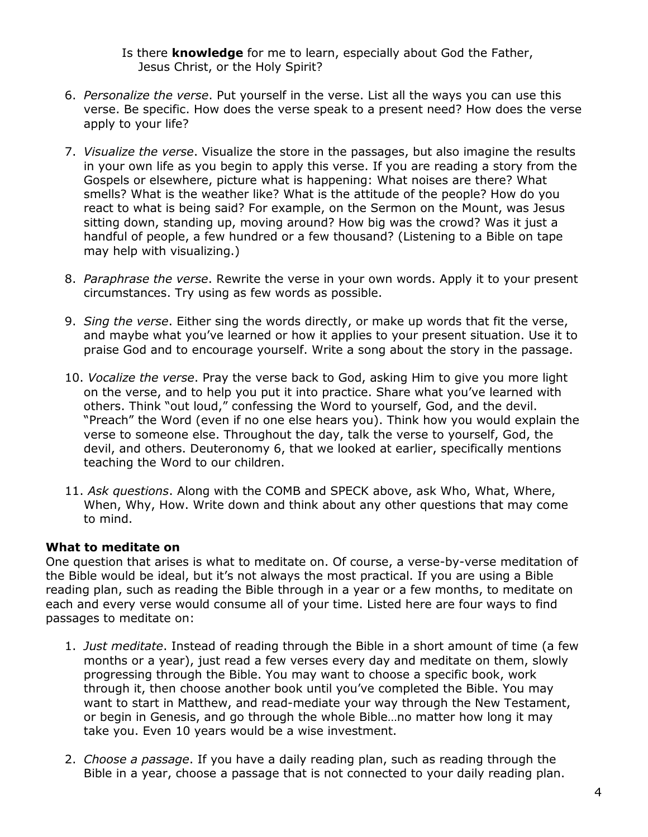Is there knowledge for me to learn, especially about God the Father, Jesus Christ, or the Holy Spirit?

- 6. Personalize the verse. Put yourself in the verse. List all the ways you can use this verse. Be specific. How does the verse speak to a present need? How does the verse apply to your life?
- 7. Visualize the verse. Visualize the store in the passages, but also imagine the results in your own life as you begin to apply this verse. If you are reading a story from the Gospels or elsewhere, picture what is happening: What noises are there? What smells? What is the weather like? What is the attitude of the people? How do you react to what is being said? For example, on the Sermon on the Mount, was Jesus sitting down, standing up, moving around? How big was the crowd? Was it just a handful of people, a few hundred or a few thousand? (Listening to a Bible on tape may help with visualizing.)
- 8. Paraphrase the verse. Rewrite the verse in your own words. Apply it to your present circumstances. Try using as few words as possible.
- 9. Sing the verse. Either sing the words directly, or make up words that fit the verse, and maybe what you've learned or how it applies to your present situation. Use it to praise God and to encourage yourself. Write a song about the story in the passage.
- 10. Vocalize the verse. Pray the verse back to God, asking Him to give you more light on the verse, and to help you put it into practice. Share what you've learned with others. Think "out loud," confessing the Word to yourself, God, and the devil. "Preach" the Word (even if no one else hears you). Think how you would explain the verse to someone else. Throughout the day, talk the verse to yourself, God, the devil, and others. Deuteronomy 6, that we looked at earlier, specifically mentions teaching the Word to our children.
- 11. Ask questions. Along with the COMB and SPECK above, ask Who, What, Where, When, Why, How. Write down and think about any other questions that may come to mind.

# What to meditate on

One question that arises is what to meditate on. Of course, a verse-by-verse meditation of the Bible would be ideal, but it's not always the most practical. If you are using a Bible reading plan, such as reading the Bible through in a year or a few months, to meditate on each and every verse would consume all of your time. Listed here are four ways to find passages to meditate on:

- 1. Just meditate. Instead of reading through the Bible in a short amount of time (a few months or a year), just read a few verses every day and meditate on them, slowly progressing through the Bible. You may want to choose a specific book, work through it, then choose another book until you've completed the Bible. You may want to start in Matthew, and read-mediate your way through the New Testament, or begin in Genesis, and go through the whole Bible...no matter how long it may take you. Even 10 years would be a wise investment.
- 2. Choose a passage. If you have a daily reading plan, such as reading through the Bible in a year, choose a passage that is not connected to your daily reading plan.